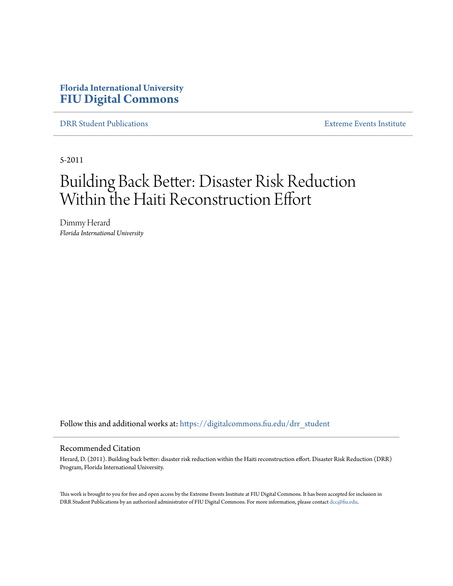# **Florida International University [FIU Digital Commons](https://digitalcommons.fiu.edu?utm_source=digitalcommons.fiu.edu%2Fdrr_student%2F8&utm_medium=PDF&utm_campaign=PDFCoverPages)**

[DRR Student Publications](https://digitalcommons.fiu.edu/drr_student?utm_source=digitalcommons.fiu.edu%2Fdrr_student%2F8&utm_medium=PDF&utm_campaign=PDFCoverPages) [Extreme Events Institute](https://digitalcommons.fiu.edu/drr?utm_source=digitalcommons.fiu.edu%2Fdrr_student%2F8&utm_medium=PDF&utm_campaign=PDFCoverPages)

5-2011

# Building Back Better: Disaster Risk Reduction Within the Haiti Reconstruction Effort

Dimmy Herard *Florida International University*

Follow this and additional works at: [https://digitalcommons.fiu.edu/drr\\_student](https://digitalcommons.fiu.edu/drr_student?utm_source=digitalcommons.fiu.edu%2Fdrr_student%2F8&utm_medium=PDF&utm_campaign=PDFCoverPages)

#### Recommended Citation

Herard, D. (2011). Building back better: disaster risk reduction within the Haiti reconstruction effort. Disaster Risk Reduction (DRR) Program, Florida International University.

This work is brought to you for free and open access by the Extreme Events Institute at FIU Digital Commons. It has been accepted for inclusion in DRR Student Publications by an authorized administrator of FIU Digital Commons. For more information, please contact [dcc@fiu.edu](mailto:dcc@fiu.edu).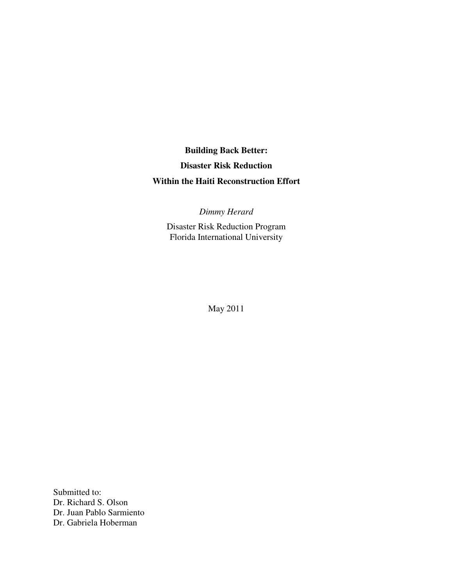**Building Back Better: Disaster Risk Reduction Within the Haiti Reconstruction Effort** 

*Dimmy Herard* 

Disaster Risk Reduction Program Florida International University

May 2011

Submitted to: Dr. Richard S. Olson Dr. Juan Pablo Sarmiento Dr. Gabriela Hoberman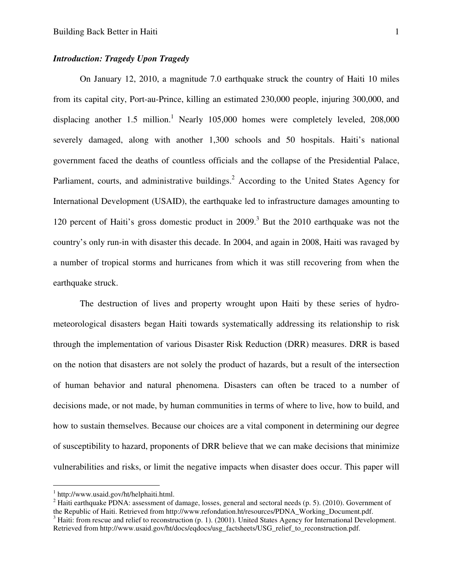#### *Introduction: Tragedy Upon Tragedy*

On January 12, 2010, a magnitude 7.0 earthquake struck the country of Haiti 10 miles from its capital city, Port-au-Prince, killing an estimated 230,000 people, injuring 300,000, and displacing another 1.5 million.<sup>1</sup> Nearly 105,000 homes were completely leveled,  $208,000$ severely damaged, along with another 1,300 schools and 50 hospitals. Haiti's national government faced the deaths of countless officials and the collapse of the Presidential Palace, Parliament, courts, and administrative buildings.<sup>2</sup> According to the United States Agency for International Development (USAID), the earthquake led to infrastructure damages amounting to 120 percent of Haiti's gross domestic product in 2009.<sup>3</sup> But the 2010 earthquake was not the country's only run-in with disaster this decade. In 2004, and again in 2008, Haiti was ravaged by a number of tropical storms and hurricanes from which it was still recovering from when the earthquake struck.

The destruction of lives and property wrought upon Haiti by these series of hydrometeorological disasters began Haiti towards systematically addressing its relationship to risk through the implementation of various Disaster Risk Reduction (DRR) measures. DRR is based on the notion that disasters are not solely the product of hazards, but a result of the intersection of human behavior and natural phenomena. Disasters can often be traced to a number of decisions made, or not made, by human communities in terms of where to live, how to build, and how to sustain themselves. Because our choices are a vital component in determining our degree of susceptibility to hazard, proponents of DRR believe that we can make decisions that minimize vulnerabilities and risks, or limit the negative impacts when disaster does occur. This paper will

-

<sup>1</sup> http://www.usaid.gov/ht/helphaiti.html.

<sup>&</sup>lt;sup>2</sup> Haiti earthquake PDNA: assessment of damage, losses, general and sectoral needs (p. 5). (2010). Government of the Republic of Haiti. Retrieved from http://www.refondation.ht/resources/PDNA\_Working\_Document.pdf.

 $3$  Haiti: from rescue and relief to reconstruction (p. 1). (2001). United States Agency for International Development. Retrieved from http://www.usaid.gov/ht/docs/eqdocs/usg\_factsheets/USG\_relief\_to\_reconstruction.pdf.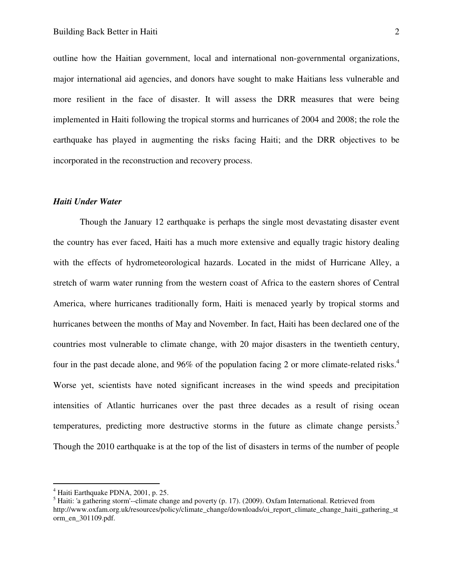outline how the Haitian government, local and international non-governmental organizations, major international aid agencies, and donors have sought to make Haitians less vulnerable and more resilient in the face of disaster. It will assess the DRR measures that were being implemented in Haiti following the tropical storms and hurricanes of 2004 and 2008; the role the earthquake has played in augmenting the risks facing Haiti; and the DRR objectives to be incorporated in the reconstruction and recovery process.

#### *Haiti Under Water*

Though the January 12 earthquake is perhaps the single most devastating disaster event the country has ever faced, Haiti has a much more extensive and equally tragic history dealing with the effects of hydrometeorological hazards. Located in the midst of Hurricane Alley, a stretch of warm water running from the western coast of Africa to the eastern shores of Central America, where hurricanes traditionally form, Haiti is menaced yearly by tropical storms and hurricanes between the months of May and November. In fact, Haiti has been declared one of the countries most vulnerable to climate change, with 20 major disasters in the twentieth century, four in the past decade alone, and 96% of the population facing 2 or more climate-related risks.<sup>4</sup> Worse yet, scientists have noted significant increases in the wind speeds and precipitation intensities of Atlantic hurricanes over the past three decades as a result of rising ocean temperatures, predicting more destructive storms in the future as climate change persists.<sup>5</sup> Though the 2010 earthquake is at the top of the list of disasters in terms of the number of people

-

<sup>4</sup> Haiti Earthquake PDNA, 2001, p. 25.

<sup>&</sup>lt;sup>5</sup> Haiti: 'a gathering storm'--climate change and poverty (p. 17). (2009). Oxfam International. Retrieved from http://www.oxfam.org.uk/resources/policy/climate\_change/downloads/oi\_report\_climate\_change\_haiti\_gathering\_st orm\_en\_301109.pdf.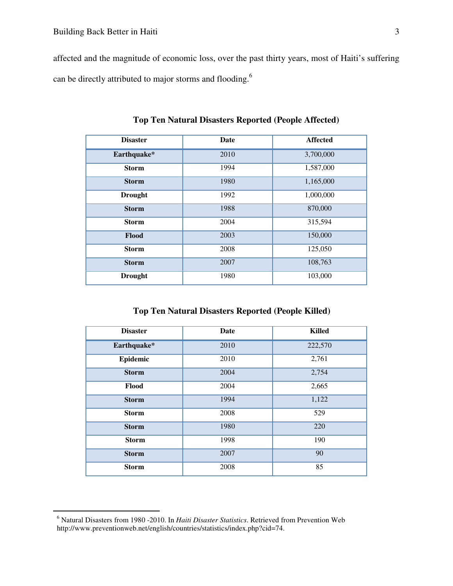affected and the magnitude of economic loss, over the past thirty years, most of Haiti's suffering can be directly attributed to major storms and flooding.<sup>6</sup>

| <b>Disaster</b> | Date | <b>Affected</b> |
|-----------------|------|-----------------|
| Earthquake*     | 2010 | 3,700,000       |
| <b>Storm</b>    | 1994 | 1,587,000       |
| <b>Storm</b>    | 1980 | 1,165,000       |
| <b>Drought</b>  | 1992 | 1,000,000       |
| <b>Storm</b>    | 1988 | 870,000         |
| <b>Storm</b>    | 2004 | 315,594         |
| Flood           | 2003 | 150,000         |
| <b>Storm</b>    | 2008 | 125,050         |
| <b>Storm</b>    | 2007 | 108,763         |
| <b>Drought</b>  | 1980 | 103,000         |

**Top Ten Natural Disasters Reported (People Affected)** 

**Top Ten Natural Disasters Reported (People Killed)** 

| <b>Disaster</b> | <b>Date</b> | <b>Killed</b> |
|-----------------|-------------|---------------|
| Earthquake*     | 2010        | 222,570       |
| Epidemic        | 2010        | 2,761         |
| <b>Storm</b>    | 2004        | 2,754         |
| Flood           | 2004        | 2,665         |
| <b>Storm</b>    | 1994        | 1,122         |
| <b>Storm</b>    | 2008        | 529           |
| <b>Storm</b>    | 1980        | 220           |
| <b>Storm</b>    | 1998        | 190           |
| <b>Storm</b>    | 2007        | 90            |
| <b>Storm</b>    | 2008        | 85            |

<sup>6</sup> Natural Disasters from 1980 -2010. In *Haiti Disaster Statistics*. Retrieved from Prevention Web http://www.preventionweb.net/english/countries/statistics/index.php?cid=74.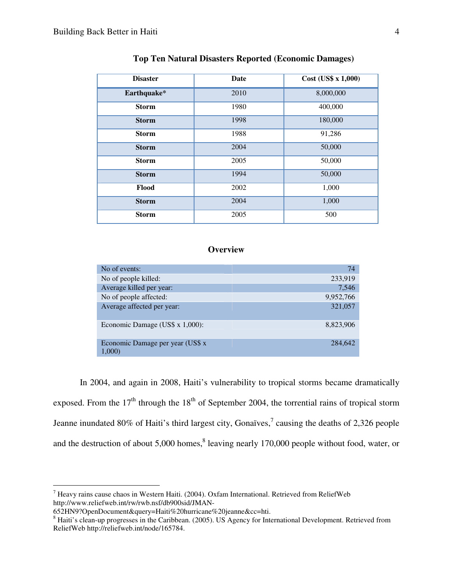| <b>Disaster</b> | <b>Date</b> | Cost (US\$ x 1,000) |
|-----------------|-------------|---------------------|
| Earthquake*     | 2010        | 8,000,000           |
| <b>Storm</b>    | 1980        | 400,000             |
| <b>Storm</b>    | 1998        | 180,000             |
| <b>Storm</b>    | 1988        | 91,286              |
| <b>Storm</b>    | 2004        | 50,000              |
| <b>Storm</b>    | 2005        | 50,000              |
| <b>Storm</b>    | 1994        | 50,000              |
| Flood           | 2002        | 1,000               |
| <b>Storm</b>    | 2004        | 1,000               |
| <b>Storm</b>    | 2005        | 500                 |

#### **Top Ten Natural Disasters Reported (Economic Damages)**

### **Overview**

| No of events:                              | 74        |
|--------------------------------------------|-----------|
| No of people killed:                       | 233,919   |
| Average killed per year:                   | 7,546     |
| No of people affected:                     | 9,952,766 |
| Average affected per year:                 | 321,057   |
| Economic Damage (US\$ x 1,000):            | 8.823.906 |
| Economic Damage per year (US\$ x<br>1,000) | 284,642   |

In 2004, and again in 2008, Haiti's vulnerability to tropical storms became dramatically exposed. From the  $17<sup>th</sup>$  through the  $18<sup>th</sup>$  of September 2004, the torrential rains of tropical storm Jeanne inundated 80% of Haiti's third largest city, Gonaïves,<sup>7</sup> causing the deaths of 2,326 people and the destruction of about  $5,000$  homes,<sup>8</sup> leaving nearly 170,000 people without food, water, or

 $^7$  Heavy rains cause chaos in Western Haiti. (2004). Oxfam International. Retrieved from ReliefWeb http://www.reliefweb.int/rw/rwb.nsf/db900sid/JMAN-

<sup>652</sup>HN9?OpenDocument&query=Haiti%20hurricane%20jeanne&cc=hti.

 $8$  Haiti's clean-up progresses in the Caribbean. (2005). US Agency for International Development. Retrieved from ReliefWeb http://reliefweb.int/node/165784.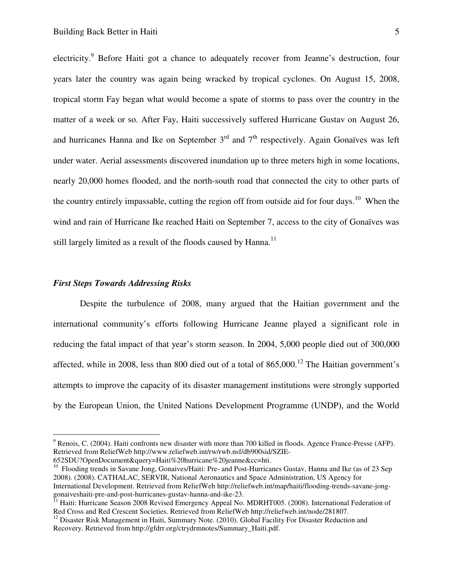electricity.<sup>9</sup> Before Haiti got a chance to adequately recover from Jeanne's destruction, four years later the country was again being wracked by tropical cyclones. On August 15, 2008, tropical storm Fay began what would become a spate of storms to pass over the country in the matter of a week or so. After Fay, Haiti successively suffered Hurricane Gustav on August 26, and hurricanes Hanna and Ike on September  $3<sup>rd</sup>$  and  $7<sup>th</sup>$  respectively. Again Gonaïves was left under water. Aerial assessments discovered inundation up to three meters high in some locations, nearly 20,000 homes flooded, and the north-south road that connected the city to other parts of the country entirely impassable, cutting the region off from outside aid for four days.<sup>10</sup> When the wind and rain of Hurricane Ike reached Haiti on September 7, access to the city of Gonaïves was still largely limited as a result of the floods caused by Hanna. $^{11}$ 

#### *First Steps Towards Addressing Risks*

 $\overline{a}$ 

Despite the turbulence of 2008, many argued that the Haitian government and the international community's efforts following Hurricane Jeanne played a significant role in reducing the fatal impact of that year's storm season. In 2004, 5,000 people died out of 300,000 affected, while in 2008, less than 800 died out of a total of  $865,000$ .<sup>12</sup> The Haitian government's attempts to improve the capacity of its disaster management institutions were strongly supported by the European Union, the United Nations Development Programme (UNDP), and the World

<sup>10</sup> Flooding trends in Savane Jong, Gonaives/Haiti: Pre- and Post-Hurricanes Gustav, Hanna and Ike (as of 23 Sep 2008). (2008). CATHALAC, SERVIR, National Aeronautics and Space Administration, US Agency for International Development. Retrieved from ReliefWeb http://reliefweb.int/map/haiti/flooding-trends-savane-jonggonaiveshaiti-pre-and-post-hurricanes-gustav-hanna-and-ike-23.

 $9$  Renois, C. (2004). Haiti confronts new disaster with more than 700 killed in floods. Agence France-Presse (AFP). Retrieved from ReliefWeb http://www.reliefweb.int/rw/rwb.nsf/db900sid/SZIE-652SDU?OpenDocument&query=Haiti%20hurricane%20jeanne&cc=hti.

<sup>&</sup>lt;sup>11</sup> Haiti: Hurricane Season 2008 Revised Emergency Appeal No. MDRHT005. (2008). International Federation of Red Cross and Red Crescent Societies. Retrieved from ReliefWeb http://reliefweb.int/node/281807.

<sup>&</sup>lt;sup>12</sup> Disaster Risk Management in Haiti, Summary Note. (2010). Global Facility For Disaster Reduction and Recovery. Retrieved from http://gfdrr.org/ctrydrmnotes/Summary\_Haiti.pdf.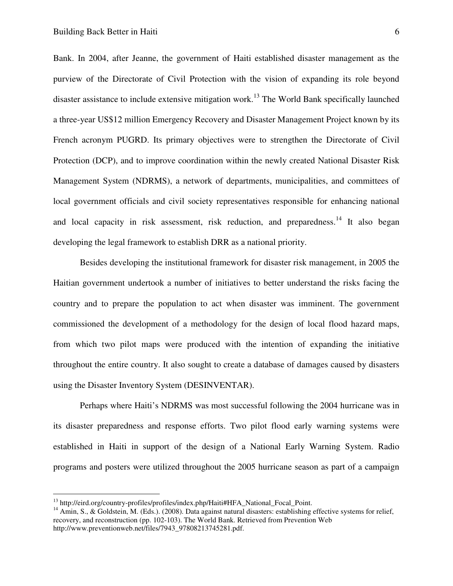Bank. In 2004, after Jeanne, the government of Haiti established disaster management as the purview of the Directorate of Civil Protection with the vision of expanding its role beyond disaster assistance to include extensive mitigation work.<sup>13</sup> The World Bank specifically launched a three-year US\$12 million Emergency Recovery and Disaster Management Project known by its French acronym PUGRD. Its primary objectives were to strengthen the Directorate of Civil Protection (DCP), and to improve coordination within the newly created National Disaster Risk Management System (NDRMS), a network of departments, municipalities, and committees of local government officials and civil society representatives responsible for enhancing national and local capacity in risk assessment, risk reduction, and preparedness.<sup>14</sup> It also began developing the legal framework to establish DRR as a national priority.

Besides developing the institutional framework for disaster risk management, in 2005 the Haitian government undertook a number of initiatives to better understand the risks facing the country and to prepare the population to act when disaster was imminent. The government commissioned the development of a methodology for the design of local flood hazard maps, from which two pilot maps were produced with the intention of expanding the initiative throughout the entire country. It also sought to create a database of damages caused by disasters using the Disaster Inventory System (DESINVENTAR).

Perhaps where Haiti's NDRMS was most successful following the 2004 hurricane was in its disaster preparedness and response efforts. Two pilot flood early warning systems were established in Haiti in support of the design of a National Early Warning System. Radio programs and posters were utilized throughout the 2005 hurricane season as part of a campaign

<u>.</u>

<sup>&</sup>lt;sup>13</sup> http://eird.org/country-profiles/profiles/index.php/Haiti#HFA\_National\_Focal\_Point.

<sup>&</sup>lt;sup>14</sup> Amin, S., & Goldstein, M. (Eds.). (2008). Data against natural disasters: establishing effective systems for relief, recovery, and reconstruction (pp. 102-103). The World Bank. Retrieved from Prevention Web http://www.preventionweb.net/files/7943\_97808213745281.pdf.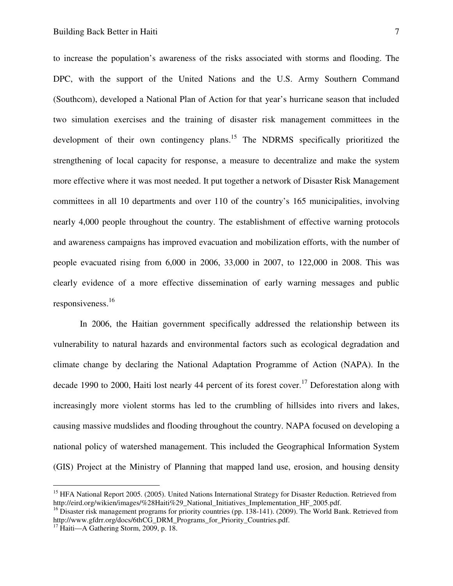to increase the population's awareness of the risks associated with storms and flooding. The DPC, with the support of the United Nations and the U.S. Army Southern Command (Southcom), developed a National Plan of Action for that year's hurricane season that included two simulation exercises and the training of disaster risk management committees in the development of their own contingency plans.<sup>15</sup> The NDRMS specifically prioritized the strengthening of local capacity for response, a measure to decentralize and make the system more effective where it was most needed. It put together a network of Disaster Risk Management committees in all 10 departments and over 110 of the country's 165 municipalities, involving nearly 4,000 people throughout the country. The establishment of effective warning protocols and awareness campaigns has improved evacuation and mobilization efforts, with the number of people evacuated rising from 6,000 in 2006, 33,000 in 2007, to 122,000 in 2008. This was clearly evidence of a more effective dissemination of early warning messages and public responsiveness.<sup>16</sup>

In 2006, the Haitian government specifically addressed the relationship between its vulnerability to natural hazards and environmental factors such as ecological degradation and climate change by declaring the National Adaptation Programme of Action (NAPA). In the decade 1990 to 2000, Haiti lost nearly 44 percent of its forest cover.<sup>17</sup> Deforestation along with increasingly more violent storms has led to the crumbling of hillsides into rivers and lakes, causing massive mudslides and flooding throughout the country. NAPA focused on developing a national policy of watershed management. This included the Geographical Information System (GIS) Project at the Ministry of Planning that mapped land use, erosion, and housing density

<sup>&</sup>lt;sup>15</sup> HFA National Report 2005. (2005). United Nations International Strategy for Disaster Reduction. Retrieved from http://eird.org/wikien/images/%28Haiti%29\_National\_Initiatives\_Implementation\_HF\_2005.pdf.

<sup>&</sup>lt;sup>16</sup> Disaster risk management programs for priority countries (pp. 138-141). (2009). The World Bank. Retrieved from http://www.gfdrr.org/docs/6thCG\_DRM\_Programs\_for\_Priority\_Countries.pdf.

<sup>&</sup>lt;sup>17</sup> Haiti—A Gathering Storm, 2009, p. 18.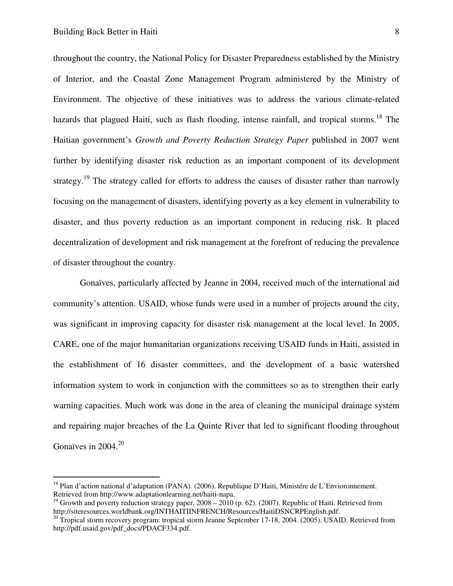throughout the country, the National Policy for Disaster Preparedness established by the Ministry of Interior, and the Coastal Zone Management Program administered by the Ministry of Environment. The objective of these initiatives was to address the various climate-related hazards that plagued Haiti, such as flash flooding, intense rainfall, and tropical storms.<sup>18</sup> The Haitian government's *Growth and Poverty Reduction Strategy Paper* published in 2007 went further by identifying disaster risk reduction as an important component of its development strategy.<sup>19</sup> The strategy called for efforts to address the causes of disaster rather than narrowly focusing on the management of disasters, identifying poverty as a key element in vulnerability to disaster, and thus poverty reduction as an important component in reducing risk. It placed decentralization of development and risk management at the forefront of reducing the prevalence of disaster throughout the country.

Gonaïves, particularly affected by Jeanne in 2004, received much of the international aid community's attention. USAID, whose funds were used in a number of projects around the city, was significant in improving capacity for disaster risk management at the local level. In 2005, CARE, one of the major humanitarian organizations receiving USAID funds in Haiti, assisted in the establishment of 16 disaster committees, and the development of a basic watershed information system to work in conjunction with the committees so as to strengthen their early warning capacities. Much work was done in the area of cleaning the municipal drainage system and repairing major breaches of the La Quinte River that led to significant flooding throughout Gonaïves in 2004. $^{20}$ 

<sup>&</sup>lt;sup>18</sup> Plan d'action national d'adaptation (PANA). (2006). Republique D'Haiti, Ministére de L'Envioronnement. Retrieved from http://www.adaptationlearning.net/haiti-napa.

<sup>&</sup>lt;sup>19</sup> Growth and poverty reduction strategy paper,  $2008 - 2010$  (p. 62). (2007). Republic of Haiti. Retrieved from http://siteresources.worldbank.org/INTHAITIINFRENCH/Resources/HaitiDSNCRPEnglish.pdf.

<sup>&</sup>lt;sup>20</sup> Tropical storm recovery program: tropical storm Jeanne September 17-18, 2004. (2005). USAID. Retrieved from http://pdf.usaid.gov/pdf\_docs/PDACF334.pdf.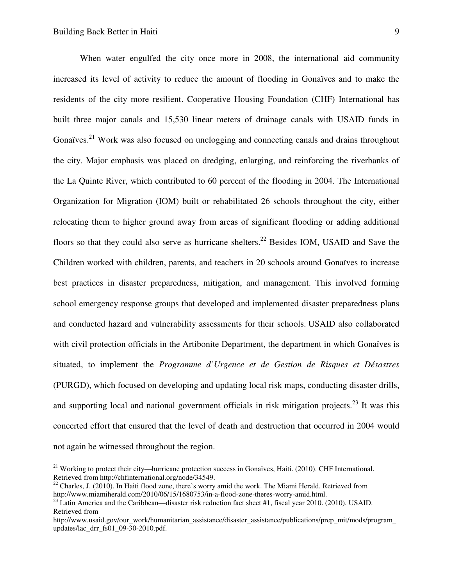When water engulfed the city once more in 2008, the international aid community increased its level of activity to reduce the amount of flooding in Gonaïves and to make the residents of the city more resilient. Cooperative Housing Foundation (CHF) International has built three major canals and 15,530 linear meters of drainage canals with USAID funds in Gonaïves.<sup>21</sup> Work was also focused on unclogging and connecting canals and drains throughout the city. Major emphasis was placed on dredging, enlarging, and reinforcing the riverbanks of the La Quinte River, which contributed to 60 percent of the flooding in 2004. The International Organization for Migration (IOM) built or rehabilitated 26 schools throughout the city, either relocating them to higher ground away from areas of significant flooding or adding additional floors so that they could also serve as hurricane shelters.<sup>22</sup> Besides IOM, USAID and Save the Children worked with children, parents, and teachers in 20 schools around Gonaïves to increase best practices in disaster preparedness, mitigation, and management. This involved forming school emergency response groups that developed and implemented disaster preparedness plans and conducted hazard and vulnerability assessments for their schools. USAID also collaborated with civil protection officials in the Artibonite Department, the department in which Gonaïves is situated, to implement the *Programme d'Urgence et de Gestion de Risques et Désastres*  (PURGD), which focused on developing and updating local risk maps, conducting disaster drills, and supporting local and national government officials in risk mitigation projects.<sup>23</sup> It was this concerted effort that ensured that the level of death and destruction that occurred in 2004 would not again be witnessed throughout the region.

<sup>&</sup>lt;sup>21</sup> Working to protect their city—hurricane protection success in Gonaïves, Haiti. (2010). CHF International. Retrieved from http://chfinternational.org/node/34549.

 $22$  Charles, J. (2010). In Haiti flood zone, there's worry amid the work. The Miami Herald. Retrieved from http://www.miamiherald.com/2010/06/15/1680753/in-a-flood-zone-theres-worry-amid.html.

 $^{23}$  Latin America and the Caribbean—disaster risk reduction fact sheet #1, fiscal year 2010. (2010). USAID. Retrieved from

http://www.usaid.gov/our\_work/humanitarian\_assistance/disaster\_assistance/publications/prep\_mit/mods/program updates/lac\_drr\_fs01\_09-30-2010.pdf.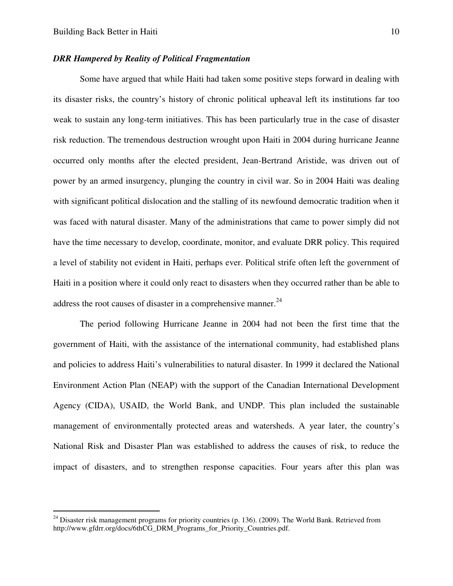#### *DRR Hampered by Reality of Political Fragmentation*

 Some have argued that while Haiti had taken some positive steps forward in dealing with its disaster risks, the country's history of chronic political upheaval left its institutions far too weak to sustain any long-term initiatives. This has been particularly true in the case of disaster risk reduction. The tremendous destruction wrought upon Haiti in 2004 during hurricane Jeanne occurred only months after the elected president, Jean-Bertrand Aristide, was driven out of power by an armed insurgency, plunging the country in civil war. So in 2004 Haiti was dealing with significant political dislocation and the stalling of its newfound democratic tradition when it was faced with natural disaster. Many of the administrations that came to power simply did not have the time necessary to develop, coordinate, monitor, and evaluate DRR policy. This required a level of stability not evident in Haiti, perhaps ever. Political strife often left the government of Haiti in a position where it could only react to disasters when they occurred rather than be able to address the root causes of disaster in a comprehensive manner. $^{24}$ 

The period following Hurricane Jeanne in 2004 had not been the first time that the government of Haiti, with the assistance of the international community, had established plans and policies to address Haiti's vulnerabilities to natural disaster. In 1999 it declared the National Environment Action Plan (NEAP) with the support of the Canadian International Development Agency (CIDA), USAID, the World Bank, and UNDP. This plan included the sustainable management of environmentally protected areas and watersheds. A year later, the country's National Risk and Disaster Plan was established to address the causes of risk, to reduce the impact of disasters, and to strengthen response capacities. Four years after this plan was

 $^{24}$  Disaster risk management programs for priority countries (p. 136). (2009). The World Bank. Retrieved from http://www.gfdrr.org/docs/6thCG\_DRM\_Programs\_for\_Priority\_Countries.pdf.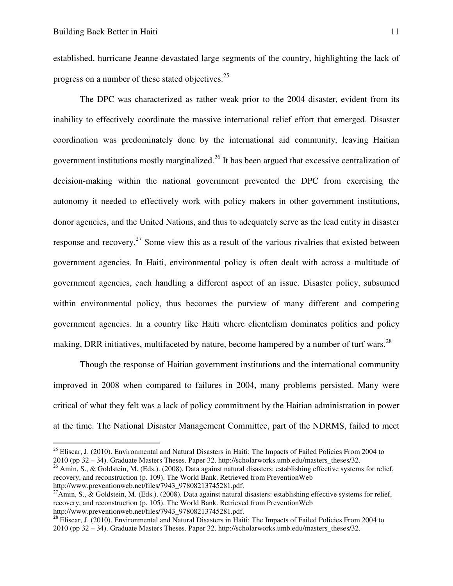established, hurricane Jeanne devastated large segments of the country, highlighting the lack of progress on a number of these stated objectives.<sup>25</sup>

The DPC was characterized as rather weak prior to the 2004 disaster, evident from its inability to effectively coordinate the massive international relief effort that emerged. Disaster coordination was predominately done by the international aid community, leaving Haitian government institutions mostly marginalized.<sup>26</sup> It has been argued that excessive centralization of decision-making within the national government prevented the DPC from exercising the autonomy it needed to effectively work with policy makers in other government institutions, donor agencies, and the United Nations, and thus to adequately serve as the lead entity in disaster response and recovery.<sup>27</sup> Some view this as a result of the various rivalries that existed between government agencies. In Haiti, environmental policy is often dealt with across a multitude of government agencies, each handling a different aspect of an issue. Disaster policy, subsumed within environmental policy, thus becomes the purview of many different and competing government agencies. In a country like Haiti where clientelism dominates politics and policy making, DRR initiatives, multifaceted by nature, become hampered by a number of turf wars.<sup>28</sup>

Though the response of Haitian government institutions and the international community improved in 2008 when compared to failures in 2004, many problems persisted. Many were critical of what they felt was a lack of policy commitment by the Haitian administration in power at the time. The National Disaster Management Committee, part of the NDRMS, failed to meet

<sup>26</sup> Amin, S., & Goldstein, M. (Eds.). (2008). Data against natural disasters: establishing effective systems for relief, recovery, and reconstruction (p. 109). The World Bank. Retrieved from PreventionWeb http://www.preventionweb.net/files/7943\_97808213745281.pdf.

<sup>&</sup>lt;sup>25</sup> Eliscar, J. (2010). Environmental and Natural Disasters in Haiti: The Impacts of Failed Policies From 2004 to 2010 (pp 32 – 34). Graduate Masters Theses. Paper 32. http://scholarworks.umb.edu/masters\_theses/32.

 $^{27}$ Amin, S., & Goldstein, M. (Eds.). (2008). Data against natural disasters: establishing effective systems for relief, recovery, and reconstruction (p. 105). The World Bank. Retrieved from PreventionWeb http://www.preventionweb.net/files/7943\_97808213745281.pdf.

<sup>&</sup>lt;sup>28</sup> Eliscar, J. (2010). Environmental and Natural Disasters in Haiti: The Impacts of Failed Policies From 2004 to 2010 (pp 32 – 34). Graduate Masters Theses. Paper 32. http://scholarworks.umb.edu/masters\_theses/32.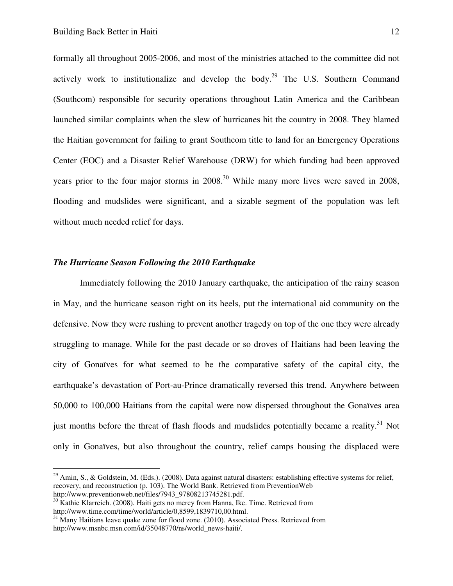formally all throughout 2005-2006, and most of the ministries attached to the committee did not actively work to institutionalize and develop the body.<sup>29</sup> The U.S. Southern Command (Southcom) responsible for security operations throughout Latin America and the Caribbean launched similar complaints when the slew of hurricanes hit the country in 2008. They blamed the Haitian government for failing to grant Southcom title to land for an Emergency Operations Center (EOC) and a Disaster Relief Warehouse (DRW) for which funding had been approved years prior to the four major storms in  $2008<sup>30</sup>$  While many more lives were saved in 2008, flooding and mudslides were significant, and a sizable segment of the population was left without much needed relief for days.

#### *The Hurricane Season Following the 2010 Earthquake*

 Immediately following the 2010 January earthquake, the anticipation of the rainy season in May, and the hurricane season right on its heels, put the international aid community on the defensive. Now they were rushing to prevent another tragedy on top of the one they were already struggling to manage. While for the past decade or so droves of Haitians had been leaving the city of Gonaïves for what seemed to be the comparative safety of the capital city, the earthquake's devastation of Port-au-Prince dramatically reversed this trend. Anywhere between 50,000 to 100,000 Haitians from the capital were now dispersed throughout the Gonaïves area just months before the threat of flash floods and mudslides potentially became a reality.<sup>31</sup> Not only in Gonaïves, but also throughout the country, relief camps housing the displaced were

 $29$  Amin, S., & Goldstein, M. (Eds.). (2008). Data against natural disasters: establishing effective systems for relief, recovery, and reconstruction (p. 103). The World Bank. Retrieved from PreventionWeb

http://www.preventionweb.net/files/7943\_97808213745281.pdf.

<sup>&</sup>lt;sup>30</sup> Kathie Klarreich. (2008). Haiti gets no mercy from Hanna, Ike. Time. Retrieved from http://www.time.com/time/world/article/0,8599,1839710,00.html.

<sup>&</sup>lt;sup>31</sup> Many Haitians leave quake zone for flood zone. (2010). Associated Press. Retrieved from http://www.msnbc.msn.com/id/35048770/ns/world\_news-haiti/.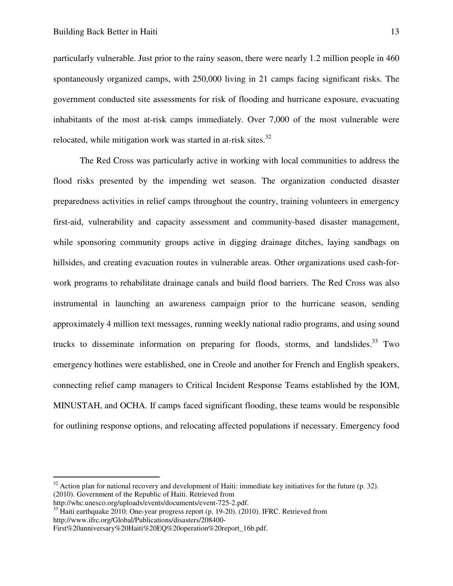particularly vulnerable. Just prior to the rainy season, there were nearly 1.2 million people in 460 spontaneously organized camps, with 250,000 living in 21 camps facing significant risks. The government conducted site assessments for risk of flooding and hurricane exposure, evacuating inhabitants of the most at-risk camps immediately. Over 7,000 of the most vulnerable were relocated, while mitigation work was started in at-risk sites. $32$ 

The Red Cross was particularly active in working with local communities to address the flood risks presented by the impending wet season. The organization conducted disaster preparedness activities in relief camps throughout the country, training volunteers in emergency first-aid, vulnerability and capacity assessment and community-based disaster management, while sponsoring community groups active in digging drainage ditches, laying sandbags on hillsides, and creating evacuation routes in vulnerable areas. Other organizations used cash-forwork programs to rehabilitate drainage canals and build flood barriers. The Red Cross was also instrumental in launching an awareness campaign prior to the hurricane season, sending approximately 4 million text messages, running weekly national radio programs, and using sound trucks to disseminate information on preparing for floods, storms, and landslides.<sup>33</sup> Two emergency hotlines were established, one in Creole and another for French and English speakers, connecting relief camp managers to Critical Incident Response Teams established by the IOM, MINUSTAH, and OCHA. If camps faced significant flooding, these teams would be responsible for outlining response options, and relocating affected populations if necessary. Emergency food

 $32$  Action plan for national recovery and development of Haiti: immediate key initiatives for the future (p. 32). (2010). Government of the Republic of Haiti. Retrieved from

http://whc.unesco.org/uploads/events/documents/event-725-2.pdf.

<sup>&</sup>lt;sup>33</sup> Haiti earthquake 2010: One-year progress report (p. 19-20). (2010). IFRC. Retrieved from http://www.ifrc.org/Global/Publications/disasters/208400-

First%20anniversary%20Haiti%20EQ%20operation%20report\_16b.pdf.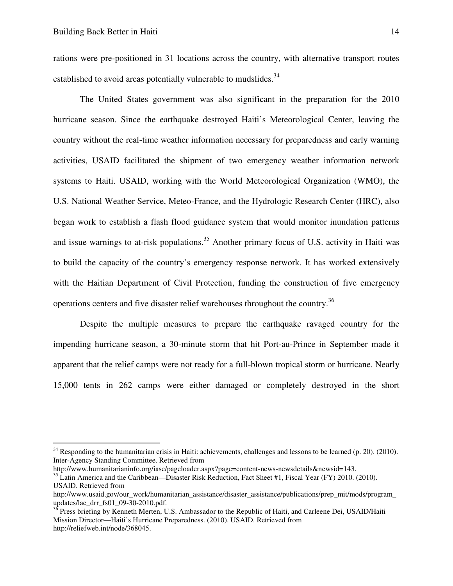rations were pre-positioned in 31 locations across the country, with alternative transport routes established to avoid areas potentially vulnerable to mudslides.<sup>34</sup>

The United States government was also significant in the preparation for the 2010 hurricane season. Since the earthquake destroyed Haiti's Meteorological Center, leaving the country without the real-time weather information necessary for preparedness and early warning activities, USAID facilitated the shipment of two emergency weather information network systems to Haiti. USAID, working with the World Meteorological Organization (WMO), the U.S. National Weather Service, Meteo-France, and the Hydrologic Research Center (HRC), also began work to establish a flash flood guidance system that would monitor inundation patterns and issue warnings to at-risk populations.<sup>35</sup> Another primary focus of U.S. activity in Haiti was to build the capacity of the country's emergency response network. It has worked extensively with the Haitian Department of Civil Protection, funding the construction of five emergency operations centers and five disaster relief warehouses throughout the country.<sup>36</sup>

Despite the multiple measures to prepare the earthquake ravaged country for the impending hurricane season, a 30-minute storm that hit Port-au-Prince in September made it apparent that the relief camps were not ready for a full-blown tropical storm or hurricane. Nearly 15,000 tents in 262 camps were either damaged or completely destroyed in the short

 $34$  Responding to the humanitarian crisis in Haiti: achievements, challenges and lessons to be learned (p. 20). (2010). Inter-Agency Standing Committee. Retrieved from

http://www.humanitarianinfo.org/iasc/pageloader.aspx?page=content-news-newsdetails&newsid=143.

<sup>&</sup>lt;sup>35</sup> Latin America and the Caribbean—Disaster Risk Reduction, Fact Sheet #1, Fiscal Year (FY) 2010. (2010). USAID. Retrieved from

http://www.usaid.gov/our\_work/humanitarian\_assistance/disaster\_assistance/publications/prep\_mit/mods/program updates/lac\_drr\_fs01\_09-30-2010.pdf.

<sup>&</sup>lt;sup>36</sup> Press briefing by Kenneth Merten, U.S. Ambassador to the Republic of Haiti, and Carleene Dei, USAID/Haiti Mission Director—Haiti's Hurricane Preparedness. (2010). USAID. Retrieved from http://reliefweb.int/node/368045.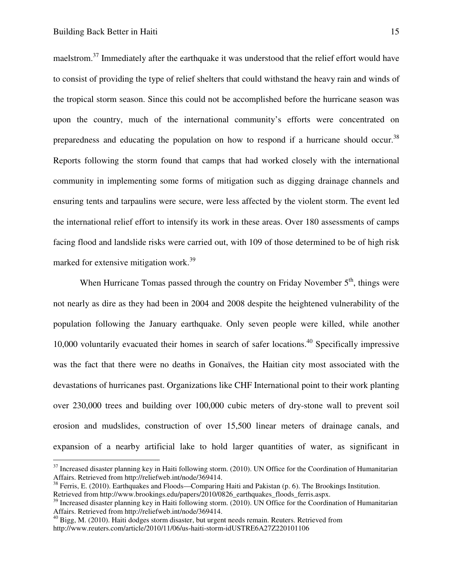<u>.</u>

maelstrom.<sup>37</sup> Immediately after the earthquake it was understood that the relief effort would have to consist of providing the type of relief shelters that could withstand the heavy rain and winds of the tropical storm season. Since this could not be accomplished before the hurricane season was upon the country, much of the international community's efforts were concentrated on preparedness and educating the population on how to respond if a hurricane should occur.<sup>38</sup> Reports following the storm found that camps that had worked closely with the international community in implementing some forms of mitigation such as digging drainage channels and ensuring tents and tarpaulins were secure, were less affected by the violent storm. The event led the international relief effort to intensify its work in these areas. Over 180 assessments of camps facing flood and landslide risks were carried out, with 109 of those determined to be of high risk marked for extensive mitigation work.<sup>39</sup>

When Hurricane Tomas passed through the country on Friday November  $5<sup>th</sup>$ , things were not nearly as dire as they had been in 2004 and 2008 despite the heightened vulnerability of the population following the January earthquake. Only seven people were killed, while another 10,000 voluntarily evacuated their homes in search of safer locations. <sup>40</sup> Specifically impressive was the fact that there were no deaths in Gonaïves, the Haitian city most associated with the devastations of hurricanes past. Organizations like CHF International point to their work planting over 230,000 trees and building over 100,000 cubic meters of dry-stone wall to prevent soil erosion and mudslides, construction of over 15,500 linear meters of drainage canals, and expansion of a nearby artificial lake to hold larger quantities of water, as significant in

 $37$  Increased disaster planning key in Haiti following storm. (2010). UN Office for the Coordination of Humanitarian Affairs. Retrieved from http://reliefweb.int/node/369414.

 $38$  Ferris, E. (2010). Earthquakes and Floods—Comparing Haiti and Pakistan (p. 6). The Brookings Institution. Retrieved from http://www.brookings.edu/papers/2010/0826\_earthquakes\_floods\_ferris.aspx.

 $39$  Increased disaster planning key in Haiti following storm. (2010). UN Office for the Coordination of Humanitarian Affairs. Retrieved from http://reliefweb.int/node/369414.

 $40$  Bigg, M. (2010). Haiti dodges storm disaster, but urgent needs remain. Reuters. Retrieved from http://www.reuters.com/article/2010/11/06/us-haiti-storm-idUSTRE6A27Z220101106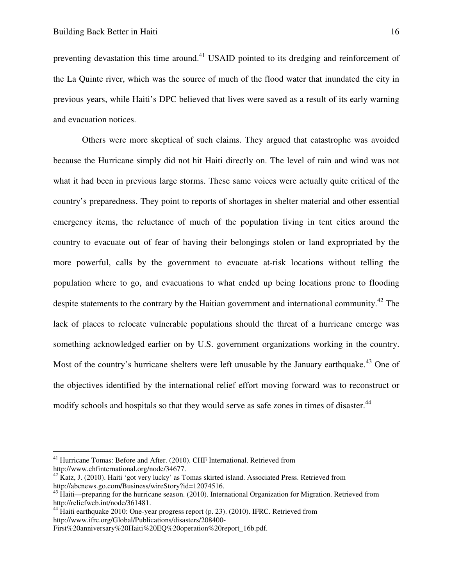preventing devastation this time around.<sup>41</sup> USAID pointed to its dredging and reinforcement of the La Quinte river, which was the source of much of the flood water that inundated the city in previous years, while Haiti's DPC believed that lives were saved as a result of its early warning and evacuation notices.

 Others were more skeptical of such claims. They argued that catastrophe was avoided because the Hurricane simply did not hit Haiti directly on. The level of rain and wind was not what it had been in previous large storms. These same voices were actually quite critical of the country's preparedness. They point to reports of shortages in shelter material and other essential emergency items, the reluctance of much of the population living in tent cities around the country to evacuate out of fear of having their belongings stolen or land expropriated by the more powerful, calls by the government to evacuate at-risk locations without telling the population where to go, and evacuations to what ended up being locations prone to flooding despite statements to the contrary by the Haitian government and international community.<sup>42</sup> The lack of places to relocate vulnerable populations should the threat of a hurricane emerge was something acknowledged earlier on by U.S. government organizations working in the country. Most of the country's hurricane shelters were left unusable by the January earthquake.<sup>43</sup> One of the objectives identified by the international relief effort moving forward was to reconstruct or modify schools and hospitals so that they would serve as safe zones in times of disaster.<sup>44</sup>

<sup>&</sup>lt;sup>41</sup> Hurricane Tomas: Before and After. (2010). CHF International. Retrieved from http://www.chfinternational.org/node/34677.

 $42$  Katz, J. (2010). Haiti 'got very lucky' as Tomas skirted island. Associated Press. Retrieved from http://abcnews.go.com/Business/wireStory?id=12074516.

<sup>&</sup>lt;sup>43</sup> Haiti—preparing for the hurricane season. (2010). International Organization for Migration. Retrieved from http://reliefweb.int/node/361481.

<sup>&</sup>lt;sup>44</sup> Haiti earthquake 2010: One-year progress report (p. 23). (2010). IFRC. Retrieved from http://www.ifrc.org/Global/Publications/disasters/208400-

First%20anniversary%20Haiti%20EQ%20operation%20report\_16b.pdf.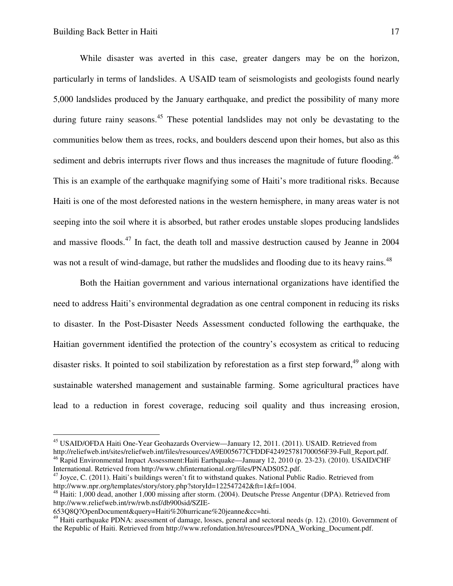While disaster was averted in this case, greater dangers may be on the horizon, particularly in terms of landslides. A USAID team of seismologists and geologists found nearly 5,000 landslides produced by the January earthquake, and predict the possibility of many more during future rainy seasons.<sup>45</sup> These potential landslides may not only be devastating to the communities below them as trees, rocks, and boulders descend upon their homes, but also as this sediment and debris interrupts river flows and thus increases the magnitude of future flooding.<sup>46</sup> This is an example of the earthquake magnifying some of Haiti's more traditional risks. Because Haiti is one of the most deforested nations in the western hemisphere, in many areas water is not seeping into the soil where it is absorbed, but rather erodes unstable slopes producing landslides and massive floods.<sup>47</sup> In fact, the death toll and massive destruction caused by Jeanne in 2004 was not a result of wind-damage, but rather the mudslides and flooding due to its heavy rains.<sup>48</sup>

Both the Haitian government and various international organizations have identified the need to address Haiti's environmental degradation as one central component in reducing its risks to disaster. In the Post-Disaster Needs Assessment conducted following the earthquake, the Haitian government identified the protection of the country's ecosystem as critical to reducing disaster risks. It pointed to soil stabilization by reforestation as a first step forward,<sup>49</sup> along with sustainable watershed management and sustainable farming. Some agricultural practices have lead to a reduction in forest coverage, reducing soil quality and thus increasing erosion,

-

<sup>45</sup> USAID/OFDA Haiti One-Year Geohazards Overview—January 12, 2011. (2011). USAID. Retrieved from http://reliefweb.int/sites/reliefweb.int/files/resources/A9E005677CFDDF424925781700056F39-Full\_Report.pdf.

<sup>&</sup>lt;sup>46</sup> Rapid Environmental Impact Assessment: Haiti Earthquake—January 12, 2010 (p. 23-23). (2010). USAID/CHF International. Retrieved from http://www.chfinternational.org/files/PNADS052.pdf.

 $47$  Joyce, C. (2011). Haiti's buildings weren't fit to withstand quakes. National Public Radio. Retrieved from http://www.npr.org/templates/story/story.php?storyId=122547242&ft=1&f=1004.

<sup>&</sup>lt;sup>48</sup> Haiti: 1,000 dead, another 1,000 missing after storm. (2004). Deutsche Presse Angentur (DPA). Retrieved from http://www.reliefweb.int/rw/rwb.nsf/db900sid/SZIE-

<sup>653</sup>Q8Q?OpenDocument&query=Haiti%20hurricane%20jeanne&cc=hti.

 $49$  Haiti earthquake PDNA: assessment of damage, losses, general and sectoral needs (p. 12). (2010). Government of the Republic of Haiti. Retrieved from http://www.refondation.ht/resources/PDNA\_Working\_Document.pdf.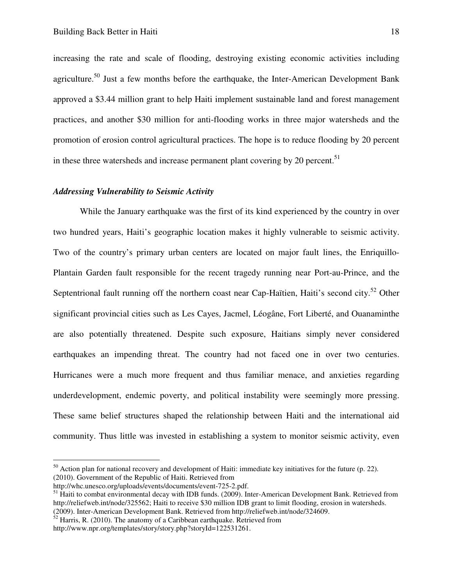increasing the rate and scale of flooding, destroying existing economic activities including agriculture.<sup>50</sup> Just a few months before the earthquake, the Inter-American Development Bank approved a \$3.44 million grant to help Haiti implement sustainable land and forest management practices, and another \$30 million for anti-flooding works in three major watersheds and the promotion of erosion control agricultural practices. The hope is to reduce flooding by 20 percent in these three watersheds and increase permanent plant covering by 20 percent.<sup>51</sup>

#### *Addressing Vulnerability to Seismic Activity*

While the January earthquake was the first of its kind experienced by the country in over two hundred years, Haiti's geographic location makes it highly vulnerable to seismic activity. Two of the country's primary urban centers are located on major fault lines, the Enriquillo-Plantain Garden fault responsible for the recent tragedy running near Port-au-Prince, and the Septentrional fault running off the northern coast near Cap-Haïtien, Haiti's second city.<sup>52</sup> Other significant provincial cities such as Les Cayes, Jacmel, Léogâne, Fort Liberté, and Ouanaminthe are also potentially threatened. Despite such exposure, Haitians simply never considered earthquakes an impending threat. The country had not faced one in over two centuries. Hurricanes were a much more frequent and thus familiar menace, and anxieties regarding underdevelopment, endemic poverty, and political instability were seemingly more pressing. These same belief structures shaped the relationship between Haiti and the international aid community. Thus little was invested in establishing a system to monitor seismic activity, even

 $50$  Action plan for national recovery and development of Haiti: immediate key initiatives for the future (p. 22). (2010). Government of the Republic of Haiti. Retrieved from

http://whc.unesco.org/uploads/events/documents/event-725-2.pdf.

<sup>&</sup>lt;sup>51</sup> Haiti to combat environmental decay with IDB funds. (2009). Inter-American Development Bank. Retrieved from http://reliefweb.int/node/325562; Haiti to receive \$30 million IDB grant to limit flooding, erosion in watersheds. (2009). Inter-American Development Bank. Retrieved from http://reliefweb.int/node/324609.

 $52$  Harris, R. (2010). The anatomy of a Caribbean earthquake. Retrieved from

http://www.npr.org/templates/story/story.php?storyId=122531261.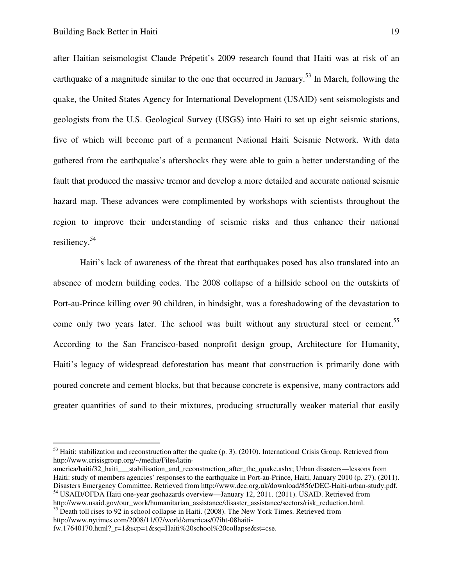after Haitian seismologist Claude Prépetit's 2009 research found that Haiti was at risk of an earthquake of a magnitude similar to the one that occurred in January.<sup>53</sup> In March, following the quake, the United States Agency for International Development (USAID) sent seismologists and geologists from the U.S. Geological Survey (USGS) into Haiti to set up eight seismic stations, five of which will become part of a permanent National Haiti Seismic Network. With data gathered from the earthquake's aftershocks they were able to gain a better understanding of the fault that produced the massive tremor and develop a more detailed and accurate national seismic hazard map. These advances were complimented by workshops with scientists throughout the region to improve their understanding of seismic risks and thus enhance their national resiliency.<sup>54</sup>

Haiti's lack of awareness of the threat that earthquakes posed has also translated into an absence of modern building codes. The 2008 collapse of a hillside school on the outskirts of Port-au-Prince killing over 90 children, in hindsight, was a foreshadowing of the devastation to come only two years later. The school was built without any structural steel or cement.<sup>55</sup> According to the San Francisco-based nonprofit design group, Architecture for Humanity, Haiti's legacy of widespread deforestation has meant that construction is primarily done with poured concrete and cement blocks, but that because concrete is expensive, many contractors add greater quantities of sand to their mixtures, producing structurally weaker material that easily

http://www.nytimes.com/2008/11/07/world/americas/07iht-08haiti-

 $<sup>53</sup>$  Haiti: stabilization and reconstruction after the quake (p. 3). (2010). International Crisis Group. Retrieved from</sup> http://www.crisisgroup.org/~/media/Files/latin-

america/haiti/32 haiti stabilisation and reconstruction after the quake.ashx; Urban disasters—lessons from Haiti: study of members agencies' responses to the earthquake in Port-au-Prince, Haiti, January 2010 (p. 27). (2011). Disasters Emergency Committee. Retrieved from http://www.dec.org.uk/download/856/DEC-Haiti-urban-study.pdf.

<sup>54</sup> USAID/OFDA Haiti one-year geohazards overview—January 12, 2011. (2011). USAID. Retrieved from http://www.usaid.gov/our\_work/humanitarian\_assistance/disaster\_assistance/sectors/risk\_reduction.html. <sup>55</sup> Death toll rises to 92 in school collapse in Haiti. (2008). The New York Times. Retrieved from

fw.17640170.html?\_r=1&scp=1&sq=Haiti%20school%20collapse&st=cse.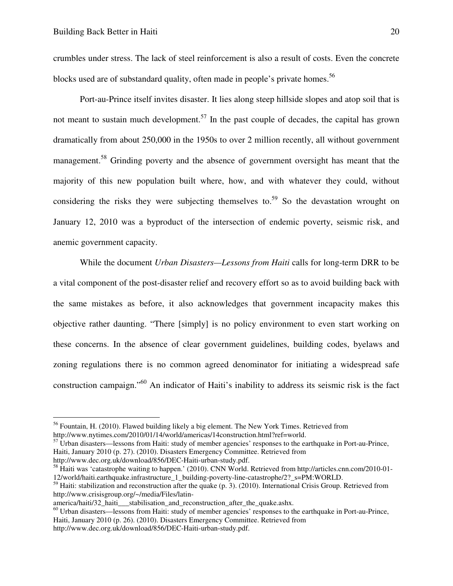crumbles under stress. The lack of steel reinforcement is also a result of costs. Even the concrete blocks used are of substandard quality, often made in people's private homes.<sup>56</sup>

Port-au-Prince itself invites disaster. It lies along steep hillside slopes and atop soil that is not meant to sustain much development.<sup>57</sup> In the past couple of decades, the capital has grown dramatically from about 250,000 in the 1950s to over 2 million recently, all without government management.<sup>58</sup> Grinding poverty and the absence of government oversight has meant that the majority of this new population built where, how, and with whatever they could, without considering the risks they were subjecting themselves to.<sup>59</sup> So the devastation wrought on January 12, 2010 was a byproduct of the intersection of endemic poverty, seismic risk, and anemic government capacity.

While the document *Urban Disasters—Lessons from Haiti* calls for long-term DRR to be a vital component of the post-disaster relief and recovery effort so as to avoid building back with the same mistakes as before, it also acknowledges that government incapacity makes this objective rather daunting. "There [simply] is no policy environment to even start working on these concerns. In the absence of clear government guidelines, building codes, byelaws and zoning regulations there is no common agreed denominator for initiating a widespread safe construction campaign."<sup>60</sup> An indicator of Haiti's inability to address its seismic risk is the fact

<sup>&</sup>lt;sup>56</sup> Fountain, H. (2010). Flawed building likely a big element. The New York Times. Retrieved from http://www.nytimes.com/2010/01/14/world/americas/14construction.html?ref=world.

 $57$  Urban disasters—lessons from Haiti: study of member agencies' responses to the earthquake in Port-au-Prince, Haiti, January 2010 (p. 27). (2010). Disasters Emergency Committee. Retrieved from http://www.dec.org.uk/download/856/DEC-Haiti-urban-study.pdf.

<sup>58</sup> Haiti was 'catastrophe waiting to happen.' (2010). CNN World. Retrieved from http://articles.cnn.com/2010-01- 12/world/haiti.earthquake.infrastructure\_1\_building-poverty-line-catastrophe/2?\_s=PM:WORLD.

 $<sup>59</sup>$  Haiti: stabilization and reconstruction after the quake (p. 3). (2010). International Crisis Group. Retrieved from</sup> http://www.crisisgroup.org/~/media/Files/latin-

america/haiti/32\_haiti\_\_\_stabilisation\_and\_reconstruction\_after\_the\_quake.ashx.

<sup>60</sup> Urban disasters—lessons from Haiti: study of member agencies' responses to the earthquake in Port-au-Prince, Haiti, January 2010 (p. 26). (2010). Disasters Emergency Committee. Retrieved from

http://www.dec.org.uk/download/856/DEC-Haiti-urban-study.pdf.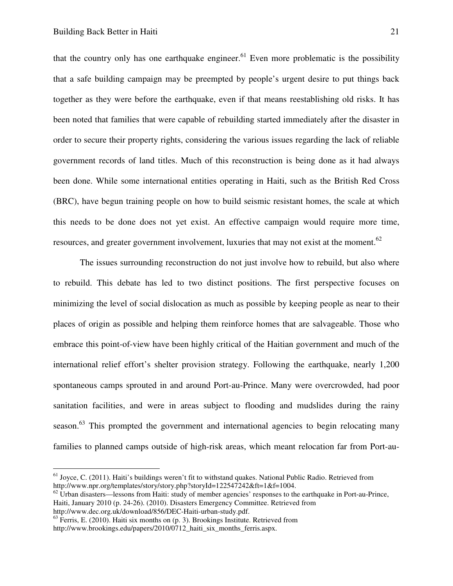that the country only has one earthquake engineer.<sup>61</sup> Even more problematic is the possibility that a safe building campaign may be preempted by people's urgent desire to put things back together as they were before the earthquake, even if that means reestablishing old risks. It has been noted that families that were capable of rebuilding started immediately after the disaster in order to secure their property rights, considering the various issues regarding the lack of reliable government records of land titles. Much of this reconstruction is being done as it had always been done. While some international entities operating in Haiti, such as the British Red Cross (BRC), have begun training people on how to build seismic resistant homes, the scale at which this needs to be done does not yet exist. An effective campaign would require more time, resources, and greater government involvement, luxuries that may not exist at the moment.<sup>62</sup>

The issues surrounding reconstruction do not just involve how to rebuild, but also where to rebuild. This debate has led to two distinct positions. The first perspective focuses on minimizing the level of social dislocation as much as possible by keeping people as near to their places of origin as possible and helping them reinforce homes that are salvageable. Those who embrace this point-of-view have been highly critical of the Haitian government and much of the international relief effort's shelter provision strategy. Following the earthquake, nearly 1,200 spontaneous camps sprouted in and around Port-au-Prince. Many were overcrowded, had poor sanitation facilities, and were in areas subject to flooding and mudslides during the rainy season.<sup>63</sup> This prompted the government and international agencies to begin relocating many families to planned camps outside of high-risk areas, which meant relocation far from Port-au-

-

 $<sup>61</sup>$  Joyce, C. (2011). Haiti's buildings weren't fit to withstand quakes. National Public Radio. Retrieved from</sup> http://www.npr.org/templates/story/story.php?storyId=122547242&ft=1&f=1004.

 $62$  Urban disasters—lessons from Haiti: study of member agencies' responses to the earthquake in Port-au-Prince, Haiti, January 2010 (p. 24-26). (2010). Disasters Emergency Committee. Retrieved from http://www.dec.org.uk/download/856/DEC-Haiti-urban-study.pdf.

 $<sup>63</sup>$  Ferris, E. (2010). Haiti six months on (p. 3). Brookings Institute. Retrieved from</sup> http://www.brookings.edu/papers/2010/0712\_haiti\_six\_months\_ferris.aspx.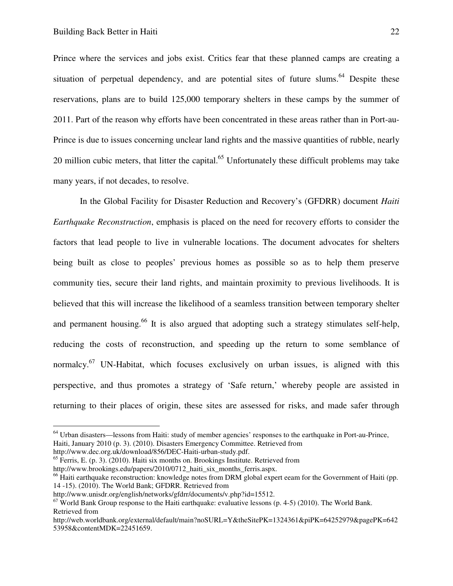Prince where the services and jobs exist. Critics fear that these planned camps are creating a situation of perpetual dependency, and are potential sites of future slums.<sup>64</sup> Despite these reservations, plans are to build 125,000 temporary shelters in these camps by the summer of 2011. Part of the reason why efforts have been concentrated in these areas rather than in Port-au-Prince is due to issues concerning unclear land rights and the massive quantities of rubble, nearly 20 million cubic meters, that litter the capital.<sup>65</sup> Unfortunately these difficult problems may take many years, if not decades, to resolve.

In the Global Facility for Disaster Reduction and Recovery's (GFDRR) document *Haiti Earthquake Reconstruction*, emphasis is placed on the need for recovery efforts to consider the factors that lead people to live in vulnerable locations. The document advocates for shelters being built as close to peoples' previous homes as possible so as to help them preserve community ties, secure their land rights, and maintain proximity to previous livelihoods. It is believed that this will increase the likelihood of a seamless transition between temporary shelter and permanent housing.<sup>66</sup> It is also argued that adopting such a strategy stimulates self-help, reducing the costs of reconstruction, and speeding up the return to some semblance of normalcy. $67$  UN-Habitat, which focuses exclusively on urban issues, is aligned with this perspective, and thus promotes a strategy of 'Safe return,' whereby people are assisted in returning to their places of origin, these sites are assessed for risks, and made safer through

-

<sup>65</sup> Ferris, E. (p. 3). (2010). Haiti six months on. Brookings Institute. Retrieved from http://www.brookings.edu/papers/2010/0712 haiti six months ferris.aspx.

<sup>64</sup> Urban disasters—lessons from Haiti: study of member agencies' responses to the earthquake in Port-au-Prince, Haiti, January 2010 (p. 3). (2010). Disasters Emergency Committee. Retrieved from

http://www.dec.org.uk/download/856/DEC-Haiti-urban-study.pdf.

<sup>&</sup>lt;sup>66</sup> Haiti earthquake reconstruction: knowledge notes from DRM global expert eeam for the Government of Haiti (pp. 14 -15). (2010). The World Bank; GFDRR. Retrieved from

http://www.unisdr.org/english/networks/gfdrr/documents/v.php?id=15512.

 $67$  World Bank Group response to the Haiti earthquake: evaluative lessons (p. 4-5) (2010). The World Bank. Retrieved from

http://web.worldbank.org/external/default/main?noSURL=Y&theSitePK=1324361&piPK=64252979&pagePK=642 53958&contentMDK=22451659.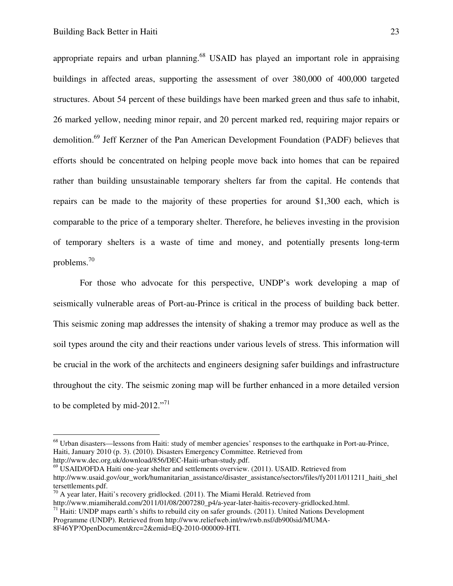appropriate repairs and urban planning.<sup>68</sup> USAID has played an important role in appraising buildings in affected areas, supporting the assessment of over 380,000 of 400,000 targeted structures. About 54 percent of these buildings have been marked green and thus safe to inhabit, 26 marked yellow, needing minor repair, and 20 percent marked red, requiring major repairs or demolition.<sup>69</sup> Jeff Kerzner of the Pan American Development Foundation (PADF) believes that efforts should be concentrated on helping people move back into homes that can be repaired rather than building unsustainable temporary shelters far from the capital. He contends that repairs can be made to the majority of these properties for around \$1,300 each, which is comparable to the price of a temporary shelter. Therefore, he believes investing in the provision of temporary shelters is a waste of time and money, and potentially presents long-term problems. $^{70}$ 

 For those who advocate for this perspective, UNDP's work developing a map of seismically vulnerable areas of Port-au-Prince is critical in the process of building back better. This seismic zoning map addresses the intensity of shaking a tremor may produce as well as the soil types around the city and their reactions under various levels of stress. This information will be crucial in the work of the architects and engineers designing safer buildings and infrastructure throughout the city. The seismic zoning map will be further enhanced in a more detailed version to be completed by mid-2012."<sup>71</sup>

 $^{69}$  USAID/OFDA Haiti one-year shelter and settlements overview. (2011). USAID. Retrieved from http://www.usaid.gov/our\_work/humanitarian\_assistance/disaster\_assistance/sectors/files/fy2011/011211\_haiti\_shel tersettlements.pdf.

<sup>68</sup> Urban disasters—lessons from Haiti: study of member agencies' responses to the earthquake in Port-au-Prince, Haiti, January 2010 (p. 3). (2010). Disasters Emergency Committee. Retrieved from http://www.dec.org.uk/download/856/DEC-Haiti-urban-study.pdf.

 $70$  A year later, Haiti's recovery gridlocked. (2011). The Miami Herald. Retrieved from

http://www.miamiherald.com/2011/01/08/2007280\_p4/a-year-later-haitis-recovery-gridlocked.html.

 $71$  Haiti: UNDP maps earth's shifts to rebuild city on safer grounds. (2011). United Nations Development Programme (UNDP). Retrieved from http://www.reliefweb.int/rw/rwb.nsf/db900sid/MUMA-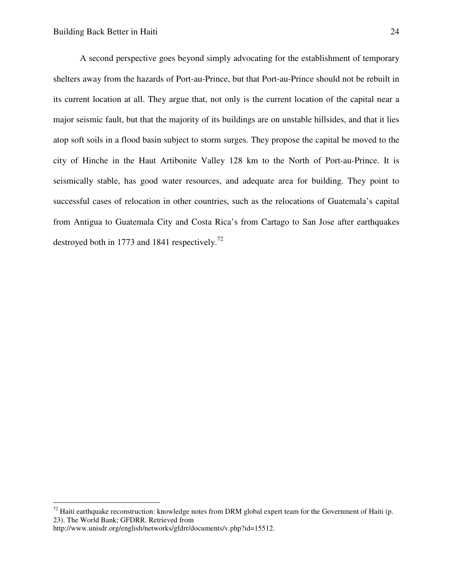A second perspective goes beyond simply advocating for the establishment of temporary shelters away from the hazards of Port-au-Prince, but that Port-au-Prince should not be rebuilt in its current location at all. They argue that, not only is the current location of the capital near a major seismic fault, but that the majority of its buildings are on unstable hillsides, and that it lies atop soft soils in a flood basin subject to storm surges. They propose the capital be moved to the city of Hinche in the Haut Artibonite Valley 128 km to the North of Port-au-Prince. It is seismically stable, has good water resources, and adequate area for building. They point to successful cases of relocation in other countries, such as the relocations of Guatemala's capital from Antigua to Guatemala City and Costa Rica's from Cartago to San Jose after earthquakes destroyed both in 1773 and 1841 respectively.<sup>72</sup>

 $72$  Haiti earthquake reconstruction: knowledge notes from DRM global expert team for the Government of Haiti (p. 23). The World Bank; GFDRR. Retrieved from

http://www.unisdr.org/english/networks/gfdrr/documents/v.php?id=15512.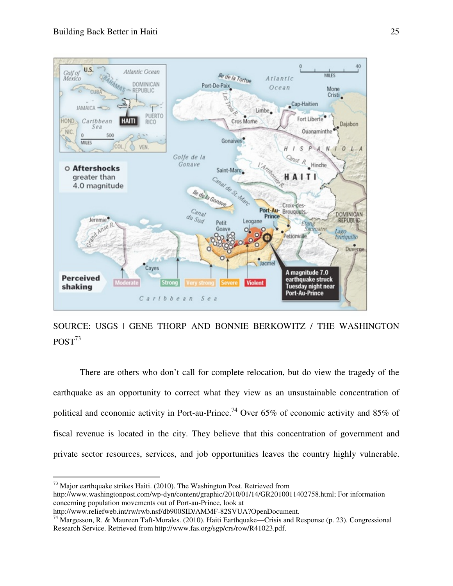

SOURCE: USGS | GENE THORP AND BONNIE BERKOWITZ / THE WASHINGTON  $POST<sup>73</sup>$ 

There are others who don't call for complete relocation, but do view the tragedy of the earthquake as an opportunity to correct what they view as an unsustainable concentration of political and economic activity in Port-au-Prince.<sup>74</sup> Over 65% of economic activity and 85% of fiscal revenue is located in the city. They believe that this concentration of government and private sector resources, services, and job opportunities leaves the country highly vulnerable.

-

 $73$  Major earthquake strikes Haiti. (2010). The Washington Post. Retrieved from

http://www.washingtonpost.com/wp-dyn/content/graphic/2010/01/14/GR2010011402758.html; For information concerning population movements out of Port-au-Prince, look at

http://www.reliefweb.int/rw/rwb.nsf/db900SID/AMMF-82SVUA?OpenDocument.

<sup>74</sup> Margesson, R. & Maureen Taft-Morales. (2010). Haiti Earthquake—Crisis and Response (p. 23). Congressional Research Service. Retrieved from http://www.fas.org/sgp/crs/row/R41023.pdf.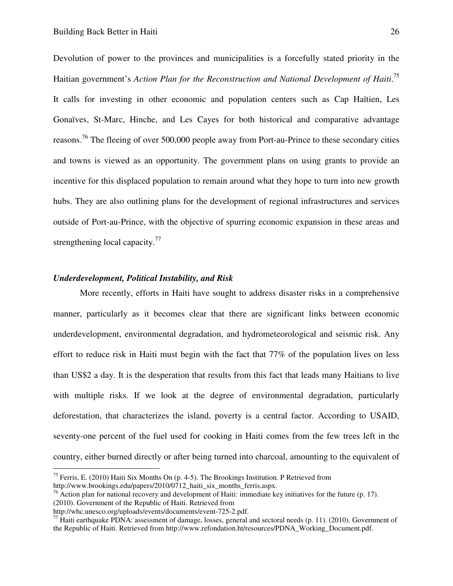Devolution of power to the provinces and municipalities is a forcefully stated priority in the Haitian government's *Action Plan for the Reconstruction and National Development of Haiti*. 75 It calls for investing in other economic and population centers such as Cap Haïtien, Les Gonaïves, St-Marc, Hinche, and Les Cayes for both historical and comparative advantage reasons.<sup>76</sup> The fleeing of over 500,000 people away from Port-au-Prince to these secondary cities and towns is viewed as an opportunity. The government plans on using grants to provide an incentive for this displaced population to remain around what they hope to turn into new growth hubs. They are also outlining plans for the development of regional infrastructures and services outside of Port-au-Prince, with the objective of spurring economic expansion in these areas and strengthening local capacity.<sup>77</sup>

#### *Underdevelopment, Political Instability, and Risk*

More recently, efforts in Haiti have sought to address disaster risks in a comprehensive manner, particularly as it becomes clear that there are significant links between economic underdevelopment, environmental degradation, and hydrometeorological and seismic risk. Any effort to reduce risk in Haiti must begin with the fact that 77% of the population lives on less than US\$2 a day. It is the desperation that results from this fact that leads many Haitians to live with multiple risks. If we look at the degree of environmental degradation, particularly deforestation, that characterizes the island, poverty is a central factor. According to USAID, seventy-one percent of the fuel used for cooking in Haiti comes from the few trees left in the country, either burned directly or after being turned into charcoal, amounting to the equivalent of

<sup>&</sup>lt;sup>75</sup> Ferris, E. (2010) Haiti Six Months On (p. 4-5). The Brookings Institution. P Retrieved from

http://www.brookings.edu/papers/2010/0712 haiti six months ferris.aspx.

 $^{76}$  Action plan for national recovery and development of Haiti: immediate key initiatives for the future (p. 17). (2010). Government of the Republic of Haiti. Retrieved from

http://whc.unesco.org/uploads/events/documents/event-725-2.pdf.

 $77$  Haiti earthquake PDNA: assessment of damage, losses, general and sectoral needs (p. 11). (2010). Government of the Republic of Haiti. Retrieved from http://www.refondation.ht/resources/PDNA\_Working\_Document.pdf.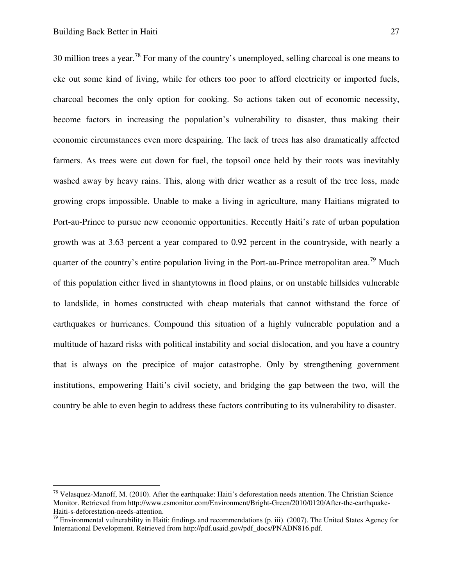30 million trees a year.<sup>78</sup> For many of the country's unemployed, selling charcoal is one means to eke out some kind of living, while for others too poor to afford electricity or imported fuels, charcoal becomes the only option for cooking. So actions taken out of economic necessity, become factors in increasing the population's vulnerability to disaster, thus making their economic circumstances even more despairing. The lack of trees has also dramatically affected farmers. As trees were cut down for fuel, the topsoil once held by their roots was inevitably washed away by heavy rains. This, along with drier weather as a result of the tree loss, made growing crops impossible. Unable to make a living in agriculture, many Haitians migrated to Port-au-Prince to pursue new economic opportunities. Recently Haiti's rate of urban population growth was at 3.63 percent a year compared to 0.92 percent in the countryside, with nearly a quarter of the country's entire population living in the Port-au-Prince metropolitan area.<sup>79</sup> Much of this population either lived in shantytowns in flood plains, or on unstable hillsides vulnerable to landslide, in homes constructed with cheap materials that cannot withstand the force of earthquakes or hurricanes. Compound this situation of a highly vulnerable population and a multitude of hazard risks with political instability and social dislocation, and you have a country that is always on the precipice of major catastrophe. Only by strengthening government institutions, empowering Haiti's civil society, and bridging the gap between the two, will the country be able to even begin to address these factors contributing to its vulnerability to disaster.

<sup>78</sup> Velasquez-Manoff, M. (2010). After the earthquake: Haiti's deforestation needs attention. The Christian Science Monitor. Retrieved from http://www.csmonitor.com/Environment/Bright-Green/2010/0120/After-the-earthquake-Haiti-s-deforestation-needs-attention.

 $79$  Environmental vulnerability in Haiti: findings and recommendations (p. iii). (2007). The United States Agency for International Development. Retrieved from http://pdf.usaid.gov/pdf\_docs/PNADN816.pdf.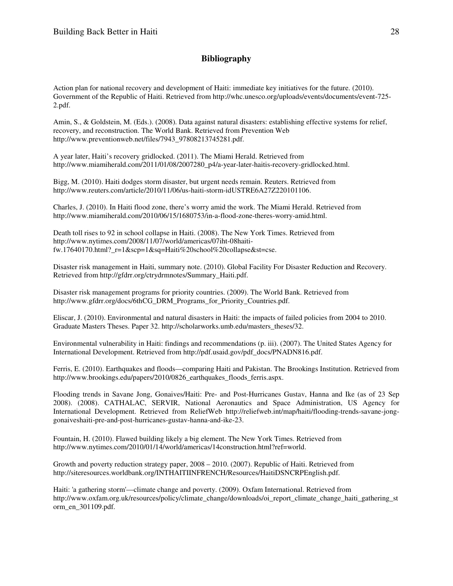## **Bibliography**

Action plan for national recovery and development of Haiti: immediate key initiatives for the future. (2010). Government of the Republic of Haiti. Retrieved from http://whc.unesco.org/uploads/events/documents/event-725- 2.pdf.

Amin, S., & Goldstein, M. (Eds.). (2008). Data against natural disasters: establishing effective systems for relief, recovery, and reconstruction. The World Bank. Retrieved from Prevention Web http://www.preventionweb.net/files/7943\_97808213745281.pdf.

A year later, Haiti's recovery gridlocked. (2011). The Miami Herald. Retrieved from http://www.miamiherald.com/2011/01/08/2007280\_p4/a-year-later-haitis-recovery-gridlocked.html.

Bigg, M. (2010). Haiti dodges storm disaster, but urgent needs remain. Reuters. Retrieved from http://www.reuters.com/article/2010/11/06/us-haiti-storm-idUSTRE6A27Z220101106.

Charles, J. (2010). In Haiti flood zone, there's worry amid the work. The Miami Herald. Retrieved from http://www.miamiherald.com/2010/06/15/1680753/in-a-flood-zone-theres-worry-amid.html.

Death toll rises to 92 in school collapse in Haiti. (2008). The New York Times. Retrieved from http://www.nytimes.com/2008/11/07/world/americas/07iht-08haitifw.17640170.html?\_r=1&scp=1&sq=Haiti%20school%20collapse&st=cse.

Disaster risk management in Haiti, summary note. (2010). Global Facility For Disaster Reduction and Recovery. Retrieved from http://gfdrr.org/ctrydrmnotes/Summary\_Haiti.pdf.

Disaster risk management programs for priority countries. (2009). The World Bank. Retrieved from http://www.gfdrr.org/docs/6thCG\_DRM\_Programs\_for\_Priority\_Countries.pdf.

Eliscar, J. (2010). Environmental and natural disasters in Haiti: the impacts of failed policies from 2004 to 2010. Graduate Masters Theses. Paper 32. http://scholarworks.umb.edu/masters\_theses/32.

Environmental vulnerability in Haiti: findings and recommendations (p. iii). (2007). The United States Agency for International Development. Retrieved from http://pdf.usaid.gov/pdf\_docs/PNADN816.pdf.

Ferris, E. (2010). Earthquakes and floods—comparing Haiti and Pakistan. The Brookings Institution. Retrieved from http://www.brookings.edu/papers/2010/0826\_earthquakes\_floods\_ferris.aspx.

Flooding trends in Savane Jong, Gonaives/Haiti: Pre- and Post-Hurricanes Gustav, Hanna and Ike (as of 23 Sep 2008). (2008). CATHALAC, SERVIR, National Aeronautics and Space Administration, US Agency for International Development. Retrieved from ReliefWeb http://reliefweb.int/map/haiti/flooding-trends-savane-jonggonaiveshaiti-pre-and-post-hurricanes-gustav-hanna-and-ike-23.

Fountain, H. (2010). Flawed building likely a big element. The New York Times. Retrieved from http://www.nytimes.com/2010/01/14/world/americas/14construction.html?ref=world.

Growth and poverty reduction strategy paper, 2008 – 2010. (2007). Republic of Haiti. Retrieved from http://siteresources.worldbank.org/INTHAITIINFRENCH/Resources/HaitiDSNCRPEnglish.pdf.

Haiti: 'a gathering storm'—climate change and poverty. (2009). Oxfam International. Retrieved from http://www.oxfam.org.uk/resources/policy/climate\_change/downloads/oi\_report\_climate\_change\_haiti\_gathering\_st orm\_en\_301109.pdf.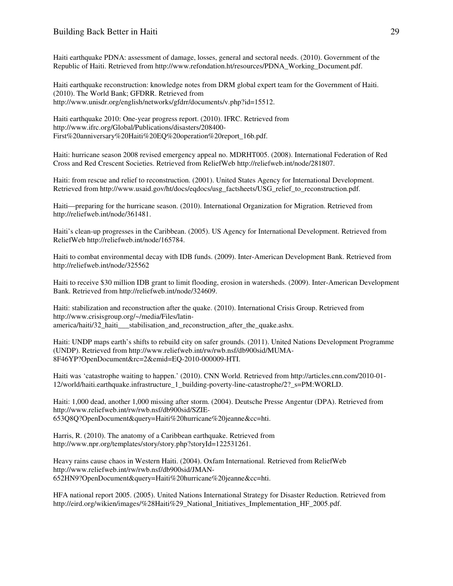#### Building Back Better in Haiti 29

Haiti earthquake PDNA: assessment of damage, losses, general and sectoral needs. (2010). Government of the Republic of Haiti. Retrieved from http://www.refondation.ht/resources/PDNA\_Working\_Document.pdf.

Haiti earthquake reconstruction: knowledge notes from DRM global expert team for the Government of Haiti. (2010). The World Bank; GFDRR. Retrieved from http://www.unisdr.org/english/networks/gfdrr/documents/v.php?id=15512.

Haiti earthquake 2010: One-year progress report. (2010). IFRC. Retrieved from http://www.ifrc.org/Global/Publications/disasters/208400- First%20anniversary%20Haiti%20EQ%20operation%20report\_16b.pdf.

Haiti: hurricane season 2008 revised emergency appeal no. MDRHT005. (2008). International Federation of Red Cross and Red Crescent Societies. Retrieved from ReliefWeb http://reliefweb.int/node/281807.

Haiti: from rescue and relief to reconstruction. (2001). United States Agency for International Development. Retrieved from http://www.usaid.gov/ht/docs/eqdocs/usg\_factsheets/USG\_relief\_to\_reconstruction.pdf.

Haiti—preparing for the hurricane season. (2010). International Organization for Migration. Retrieved from http://reliefweb.int/node/361481.

Haiti's clean-up progresses in the Caribbean. (2005). US Agency for International Development. Retrieved from ReliefWeb http://reliefweb.int/node/165784.

Haiti to combat environmental decay with IDB funds. (2009). Inter-American Development Bank. Retrieved from http://reliefweb.int/node/325562

Haiti to receive \$30 million IDB grant to limit flooding, erosion in watersheds. (2009). Inter-American Development Bank. Retrieved from http://reliefweb.int/node/324609.

Haiti: stabilization and reconstruction after the quake. (2010). International Crisis Group. Retrieved from http://www.crisisgroup.org/~/media/Files/latinamerica/haiti/32\_haiti\_\_\_stabilisation\_and\_reconstruction\_after\_the\_quake.ashx.

Haiti: UNDP maps earth's shifts to rebuild city on safer grounds. (2011). United Nations Development Programme (UNDP). Retrieved from http://www.reliefweb.int/rw/rwb.nsf/db900sid/MUMA-8F46YP?OpenDocument&rc=2&emid=EQ-2010-000009-HTI.

Haiti was 'catastrophe waiting to happen.' (2010). CNN World. Retrieved from http://articles.cnn.com/2010-01- 12/world/haiti.earthquake.infrastructure 1 building-poverty-line-catastrophe/2? s=PM:WORLD.

Haiti: 1,000 dead, another 1,000 missing after storm. (2004). Deutsche Presse Angentur (DPA). Retrieved from http://www.reliefweb.int/rw/rwb.nsf/db900sid/SZIE-653Q8Q?OpenDocument&query=Haiti%20hurricane%20jeanne&cc=hti.

Harris, R. (2010). The anatomy of a Caribbean earthquake. Retrieved from http://www.npr.org/templates/story/story.php?storyId=122531261.

Heavy rains cause chaos in Western Haiti. (2004). Oxfam International. Retrieved from ReliefWeb http://www.reliefweb.int/rw/rwb.nsf/db900sid/JMAN-652HN9?OpenDocument&query=Haiti%20hurricane%20jeanne&cc=hti.

HFA national report 2005. (2005). United Nations International Strategy for Disaster Reduction. Retrieved from http://eird.org/wikien/images/%28Haiti%29\_National\_Initiatives\_Implementation\_HF\_2005.pdf.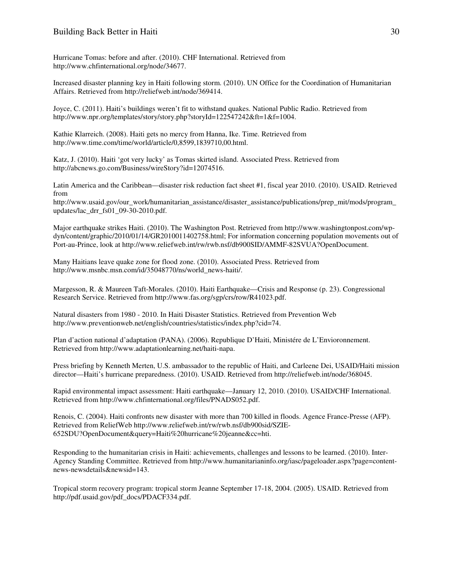Hurricane Tomas: before and after. (2010). CHF International. Retrieved from http://www.chfinternational.org/node/34677.

Increased disaster planning key in Haiti following storm. (2010). UN Office for the Coordination of Humanitarian Affairs. Retrieved from http://reliefweb.int/node/369414.

Joyce, C. (2011). Haiti's buildings weren't fit to withstand quakes. National Public Radio. Retrieved from http://www.npr.org/templates/story/story.php?storyId=122547242&ft=1&f=1004.

Kathie Klarreich. (2008). Haiti gets no mercy from Hanna, Ike. Time. Retrieved from http://www.time.com/time/world/article/0,8599,1839710,00.html.

Katz, J. (2010). Haiti 'got very lucky' as Tomas skirted island. Associated Press. Retrieved from http://abcnews.go.com/Business/wireStory?id=12074516.

Latin America and the Caribbean—disaster risk reduction fact sheet #1, fiscal year 2010. (2010). USAID. Retrieved from

http://www.usaid.gov/our\_work/humanitarian\_assistance/disaster\_assistance/publications/prep\_mit/mods/program\_ updates/lac\_drr\_fs01\_09-30-2010.pdf.

Major earthquake strikes Haiti. (2010). The Washington Post. Retrieved from http://www.washingtonpost.com/wpdyn/content/graphic/2010/01/14/GR2010011402758.html; For information concerning population movements out of Port-au-Prince, look at http://www.reliefweb.int/rw/rwb.nsf/db900SID/AMMF-82SVUA?OpenDocument.

Many Haitians leave quake zone for flood zone. (2010). Associated Press. Retrieved from http://www.msnbc.msn.com/id/35048770/ns/world\_news-haiti/.

Margesson, R. & Maureen Taft-Morales. (2010). Haiti Earthquake—Crisis and Response (p. 23). Congressional Research Service. Retrieved from http://www.fas.org/sgp/crs/row/R41023.pdf.

Natural disasters from 1980 - 2010. In Haiti Disaster Statistics. Retrieved from Prevention Web http://www.preventionweb.net/english/countries/statistics/index.php?cid=74.

Plan d'action national d'adaptation (PANA). (2006). Republique D'Haiti, Ministére de L'Envioronnement. Retrieved from http://www.adaptationlearning.net/haiti-napa.

Press briefing by Kenneth Merten, U.S. ambassador to the republic of Haiti, and Carleene Dei, USAID/Haiti mission director—Haiti's hurricane preparedness. (2010). USAID. Retrieved from http://reliefweb.int/node/368045.

Rapid environmental impact assessment: Haiti earthquake—January 12, 2010. (2010). USAID/CHF International. Retrieved from http://www.chfinternational.org/files/PNADS052.pdf.

Renois, C. (2004). Haiti confronts new disaster with more than 700 killed in floods. Agence France-Presse (AFP). Retrieved from ReliefWeb http://www.reliefweb.int/rw/rwb.nsf/db900sid/SZIE-652SDU?OpenDocument&query=Haiti%20hurricane%20jeanne&cc=hti.

Responding to the humanitarian crisis in Haiti: achievements, challenges and lessons to be learned. (2010). Inter-Agency Standing Committee. Retrieved from http://www.humanitarianinfo.org/iasc/pageloader.aspx?page=contentnews-newsdetails&newsid=143.

Tropical storm recovery program: tropical storm Jeanne September 17-18, 2004. (2005). USAID. Retrieved from http://pdf.usaid.gov/pdf\_docs/PDACF334.pdf.